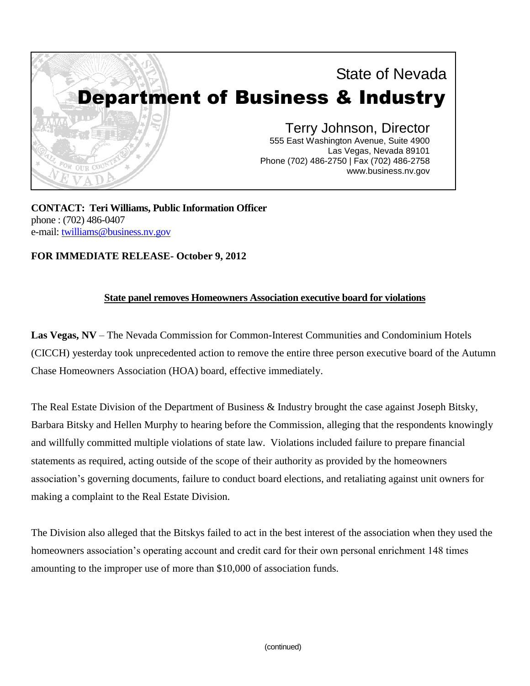

**CONTACT: Teri Williams, Public Information Officer** phone : (702) 486-0407 e-mail: [twilliams@business.nv.gov](mailto:twilliams@business.nv.gov)

**FOR IMMEDIATE RELEASE- October 9, 2012**

## **State panel removes Homeowners Association executive board for violations**

**Las Vegas, NV** – The Nevada Commission for Common-Interest Communities and Condominium Hotels (CICCH) yesterday took unprecedented action to remove the entire three person executive board of the Autumn Chase Homeowners Association (HOA) board, effective immediately.

The Real Estate Division of the Department of Business & Industry brought the case against Joseph Bitsky, Barbara Bitsky and Hellen Murphy to hearing before the Commission, alleging that the respondents knowingly and willfully committed multiple violations of state law. Violations included failure to prepare financial statements as required, acting outside of the scope of their authority as provided by the homeowners association's governing documents, failure to conduct board elections, and retaliating against unit owners for making a complaint to the Real Estate Division.

The Division also alleged that the Bitskys failed to act in the best interest of the association when they used the homeowners association's operating account and credit card for their own personal enrichment 148 times amounting to the improper use of more than \$10,000 of association funds.